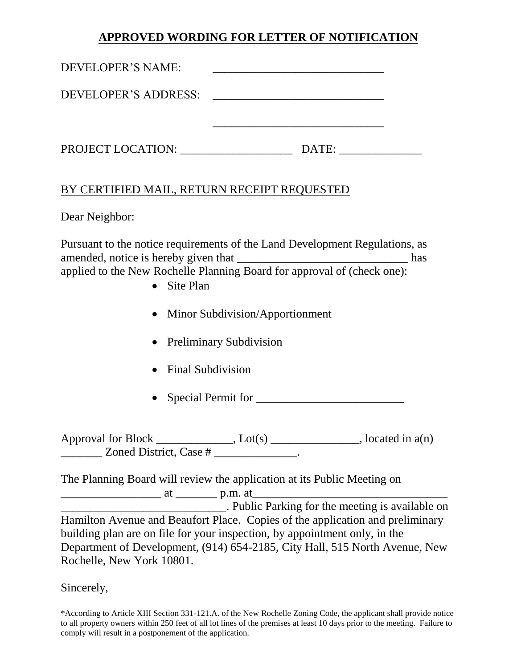## **APPROVED WORDING FOR LETTER OF NOTIFICATION**

| DEVELOPER'S NAME:    |       |  |
|----------------------|-------|--|
| DEVELOPER'S ADDRESS: |       |  |
|                      |       |  |
| PROJECT LOCATION:    | DATE: |  |

## BY CERTIFIED MAIL, RETURN RECEIPT REQUESTED

Dear Neighbor:

Pursuant to the notice requirements of the Land Development Regulations, as amended, notice is hereby given that \_\_\_\_\_\_\_\_\_\_\_\_\_\_\_\_\_\_\_\_\_\_\_\_\_\_\_\_\_ has applied to the New Rochelle Planning Board for approval of (check one):

- Site Plan
- Minor Subdivision/Apportionment
- Preliminary Subdivision
- Final Subdivision
- Special Permit for \_\_\_\_\_\_\_\_\_\_\_\_\_\_\_\_\_\_\_\_\_\_\_\_\_

Approval for Block \_\_\_\_\_\_\_\_\_\_\_, Lot(s) \_\_\_\_\_\_\_\_\_\_\_\_, located in a(n)  $\frac{1}{\sqrt{2\pi}}$  Zoned District, Case # \_\_\_\_\_\_\_\_\_\_\_\_.

The Planning Board will review the application at its Public Meeting on

\_\_\_\_\_\_\_\_\_\_\_\_\_\_\_\_\_ at \_\_\_\_\_\_\_ p.m. at\_\_\_\_\_\_\_\_\_\_\_\_\_\_\_\_\_\_\_\_\_\_\_\_\_\_\_\_\_\_\_\_\_ \_\_\_\_\_\_\_\_\_\_\_\_\_\_\_\_\_\_\_\_\_\_\_\_\_\_\_\_. Public Parking for the meeting is available on Hamilton Avenue and Beaufort Place. Copies of the application and preliminary building plan are on file for your inspection, by appointment only, in the Department of Development, (914) 654-2185, City Hall, 515 North Avenue, New Rochelle, New York 10801.

Sincerely,

\*According to Article XIII Section 331-121.A. of the New Rochelle Zoning Code, the applicant shall provide notice to all property owners within 250 feet of all lot lines of the premises at least 10 days prior to the meeting. Failure to comply will result in a postponement of the application.